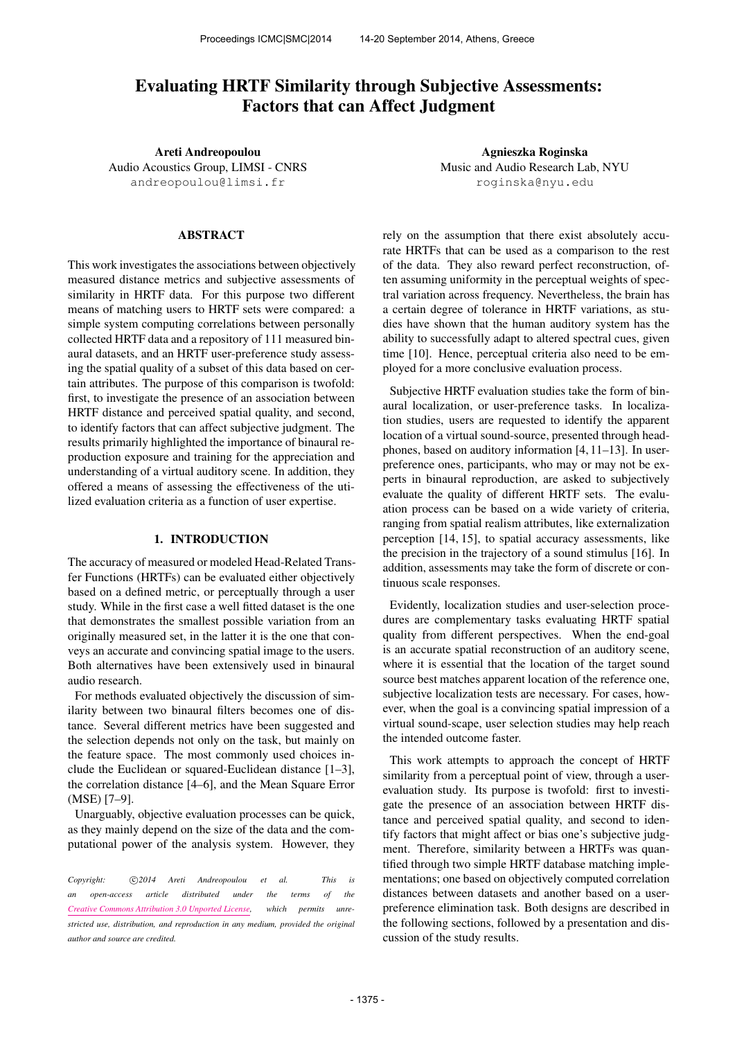# Evaluating HRTF Similarity through Subjective Assessments: Factors that can Affect Judgment

Areti Andreopoulou Audio Acoustics Group, LIMSI - CNRS [andreopoulou@limsi.fr](mailto:andreopoulou@limsi.fr)

# ABSTRACT

This work investigates the associations between objectively measured distance metrics and subjective assessments of similarity in HRTF data. For this purpose two different means of matching users to HRTF sets were compared: a simple system computing correlations between personally collected HRTF data and a repository of 111 measured binaural datasets, and an HRTF user-preference study assessing the spatial quality of a subset of this data based on certain attributes. The purpose of this comparison is twofold: first, to investigate the presence of an association between HRTF distance and perceived spatial quality, and second, to identify factors that can affect subjective judgment. The results primarily highlighted the importance of binaural reproduction exposure and training for the appreciation and understanding of a virtual auditory scene. In addition, they offered a means of assessing the effectiveness of the utilized evaluation criteria as a function of user expertise.

# 1. INTRODUCTION

The accuracy of measured or modeled Head-Related Transfer Functions (HRTFs) can be evaluated either objectively based on a defined metric, or perceptually through a user study. While in the first case a well fitted dataset is the one that demonstrates the smallest possible variation from an originally measured set, in the latter it is the one that conveys an accurate and convincing spatial image to the users. Both alternatives have been extensively used in binaural audio research.

For methods evaluated objectively the discussion of similarity between two binaural filters becomes one of distance. Several different metrics have been suggested and the selection depends not only on the task, but mainly on the feature space. The most commonly used choices include the Euclidean or squared-Euclidean distance [1–3], the correlation distance [4–6], and the Mean Square Error (MSE) [7–9].

Unarguably, objective evaluation processes can be quick, as they mainly depend on the size of the data and the computational power of the analysis system. However, they

Copyright:  $\bigcirc$ 2014 Areti Andreopoulou et al. This is *an open-access article distributed under the terms of the [Creative Commons Attribution 3.0 Unported License,](http://creativecommons.org/licenses/by/3.0/) which permits unrestricted use, distribution, and reproduction in any medium, provided the original author and source are credited.*

Agnieszka Roginska Music and Audio Research Lab, NYU [roginska@nyu.edu](mailto:roginska@nyu.edu)

rely on the assumption that there exist absolutely accurate HRTFs that can be used as a comparison to the rest of the data. They also reward perfect reconstruction, often assuming uniformity in the perceptual weights of spectral variation across frequency. Nevertheless, the brain has a certain degree of tolerance in HRTF variations, as studies have shown that the human auditory system has the ability to successfully adapt to altered spectral cues, given time [10]. Hence, perceptual criteria also need to be employed for a more conclusive evaluation process.

Subjective HRTF evaluation studies take the form of binaural localization, or user-preference tasks. In localization studies, users are requested to identify the apparent location of a virtual sound-source, presented through headphones, based on auditory information [4, 11–13]. In userpreference ones, participants, who may or may not be experts in binaural reproduction, are asked to subjectively evaluate the quality of different HRTF sets. The evaluation process can be based on a wide variety of criteria, ranging from spatial realism attributes, like externalization perception [14, 15], to spatial accuracy assessments, like the precision in the trajectory of a sound stimulus [16]. In addition, assessments may take the form of discrete or continuous scale responses.

Evidently, localization studies and user-selection procedures are complementary tasks evaluating HRTF spatial quality from different perspectives. When the end-goal is an accurate spatial reconstruction of an auditory scene, where it is essential that the location of the target sound source best matches apparent location of the reference one, subjective localization tests are necessary. For cases, however, when the goal is a convincing spatial impression of a virtual sound-scape, user selection studies may help reach the intended outcome faster.

This work attempts to approach the concept of HRTF similarity from a perceptual point of view, through a userevaluation study. Its purpose is twofold: first to investigate the presence of an association between HRTF distance and perceived spatial quality, and second to identify factors that might affect or bias one's subjective judgment. Therefore, similarity between a HRTFs was quantified through two simple HRTF database matching implementations; one based on objectively computed correlation distances between datasets and another based on a userpreference elimination task. Both designs are described in the following sections, followed by a presentation and discussion of the study results.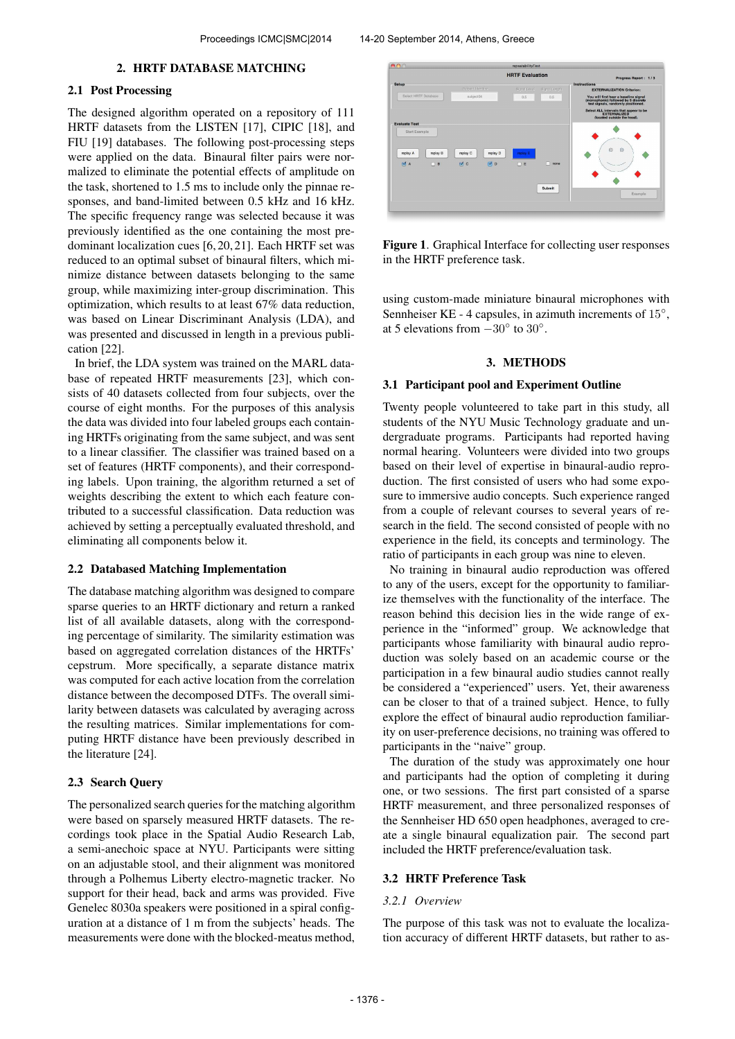### 2. HRTF DATABASE MATCHING

# 2.1 Post Processing

The designed algorithm operated on a repository of 111 HRTF datasets from the LISTEN [17], CIPIC [18], and FIU [19] databases. The following post-processing steps were applied on the data. Binaural filter pairs were normalized to eliminate the potential effects of amplitude on the task, shortened to 1.5 ms to include only the pinnae responses, and band-limited between 0.5 kHz and 16 kHz. The specific frequency range was selected because it was previously identified as the one containing the most predominant localization cues [6, 20, 21]. Each HRTF set was reduced to an optimal subset of binaural filters, which minimize distance between datasets belonging to the same group, while maximizing inter-group discrimination. This optimization, which results to at least 67% data reduction, was based on Linear Discriminant Analysis (LDA), and was presented and discussed in length in a previous publication [22].

In brief, the LDA system was trained on the MARL database of repeated HRTF measurements [23], which consists of 40 datasets collected from four subjects, over the course of eight months. For the purposes of this analysis the data was divided into four labeled groups each containing HRTFs originating from the same subject, and was sent to a linear classifier. The classifier was trained based on a set of features (HRTF components), and their corresponding labels. Upon training, the algorithm returned a set of weights describing the extent to which each feature contributed to a successful classification. Data reduction was achieved by setting a perceptually evaluated threshold, and eliminating all components below it.

### 2.2 Databased Matching Implementation

The database matching algorithm was designed to compare sparse queries to an HRTF dictionary and return a ranked list of all available datasets, along with the corresponding percentage of similarity. The similarity estimation was based on aggregated correlation distances of the HRTFs' cepstrum. More specifically, a separate distance matrix was computed for each active location from the correlation distance between the decomposed DTFs. The overall similarity between datasets was calculated by averaging across the resulting matrices. Similar implementations for computing HRTF distance have been previously described in the literature [24].

# 2.3 Search Query

The personalized search queries for the matching algorithm were based on sparsely measured HRTF datasets. The recordings took place in the Spatial Audio Research Lab, a semi-anechoic space at NYU. Participants were sitting on an adjustable stool, and their alignment was monitored through a Polhemus Liberty electro-magnetic tracker. No support for their head, back and arms was provided. Five Genelec 8030a speakers were positioned in a spiral configuration at a distance of 1 m from the subjects' heads. The measurements were done with the blocked-meatus method,



Figure 1. Graphical Interface for collecting user responses in the HRTF preference task.

using custom-made miniature binaural microphones with Sennheiser KE - 4 capsules, in azimuth increments of 15°, at 5 elevations from  $-30^{\circ}$  to  $30^{\circ}$ .

# 3. METHODS

### 3.1 Participant pool and Experiment Outline

Twenty people volunteered to take part in this study, all students of the NYU Music Technology graduate and undergraduate programs. Participants had reported having normal hearing. Volunteers were divided into two groups based on their level of expertise in binaural-audio reproduction. The first consisted of users who had some exposure to immersive audio concepts. Such experience ranged from a couple of relevant courses to several years of research in the field. The second consisted of people with no experience in the field, its concepts and terminology. The ratio of participants in each group was nine to eleven.

No training in binaural audio reproduction was offered to any of the users, except for the opportunity to familiarize themselves with the functionality of the interface. The reason behind this decision lies in the wide range of experience in the "informed" group. We acknowledge that participants whose familiarity with binaural audio reproduction was solely based on an academic course or the participation in a few binaural audio studies cannot really be considered a "experienced" users. Yet, their awareness can be closer to that of a trained subject. Hence, to fully explore the effect of binaural audio reproduction familiarity on user-preference decisions, no training was offered to participants in the "naive" group.

The duration of the study was approximately one hour and participants had the option of completing it during one, or two sessions. The first part consisted of a sparse HRTF measurement, and three personalized responses of the Sennheiser HD 650 open headphones, averaged to create a single binaural equalization pair. The second part included the HRTF preference/evaluation task.

#### 3.2 HRTF Preference Task

### *3.2.1 Overview*

The purpose of this task was not to evaluate the localization accuracy of different HRTF datasets, but rather to as-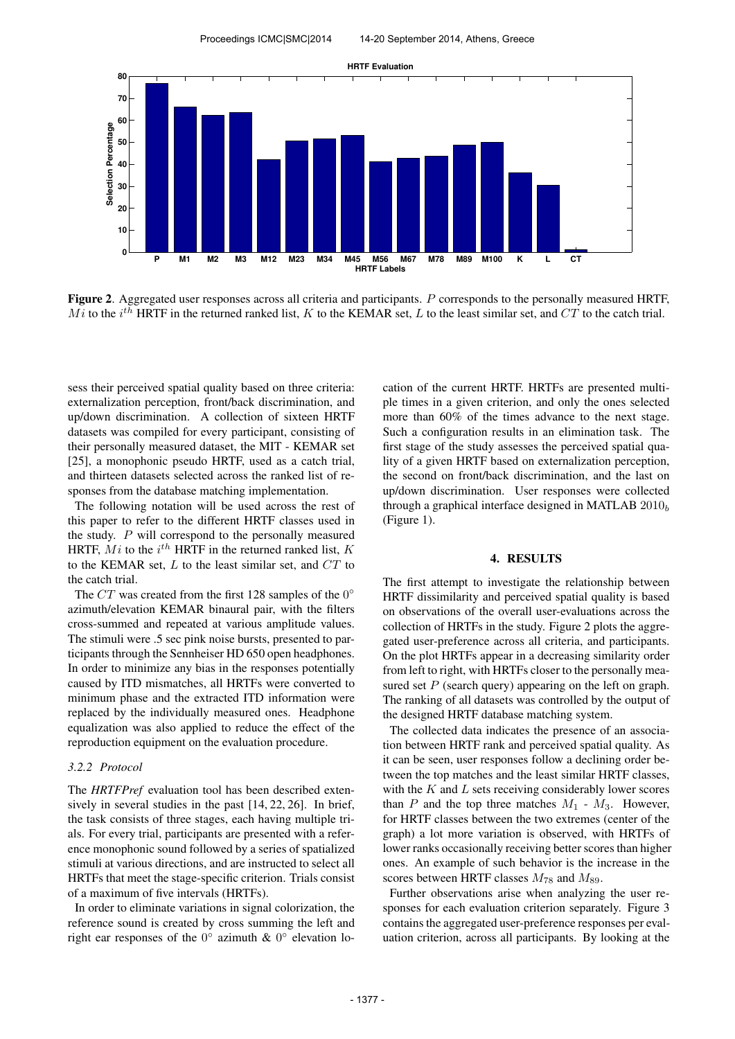

Figure 2. Aggregated user responses across all criteria and participants. P corresponds to the personally measured HRTF,  $\overline{Mi}$  to the  $i^{th}$  HRTF in the returned ranked list, K to the KEMAR set, L to the least similar set, and CT to the catch trial.

sess their perceived spatial quality based on three criteria: externalization perception, front/back discrimination, and up/down discrimination. A collection of sixteen HRTF datasets was compiled for every participant, consisting of their personally measured dataset, the MIT - KEMAR set [25], a monophonic pseudo HRTF, used as a catch trial, and thirteen datasets selected across the ranked list of responses from the database matching implementation.

The following notation will be used across the rest of this paper to refer to the different HRTF classes used in the study. P will correspond to the personally measured HRTF,  $Mi$  to the  $i^{th}$  HRTF in the returned ranked list,  $K$ to the KEMAR set,  $L$  to the least similar set, and  $CT$  to the catch trial.

The  $CT$  was created from the first 128 samples of the  $0^{\circ}$ azimuth/elevation KEMAR binaural pair, with the filters cross-summed and repeated at various amplitude values. The stimuli were .5 sec pink noise bursts, presented to participants through the Sennheiser HD 650 open headphones. In order to minimize any bias in the responses potentially caused by ITD mismatches, all HRTFs were converted to minimum phase and the extracted ITD information were replaced by the individually measured ones. Headphone equalization was also applied to reduce the effect of the reproduction equipment on the evaluation procedure.

# *3.2.2 Protocol*

The *HRTFPref* evaluation tool has been described extensively in several studies in the past [14, 22, 26]. In brief, the task consists of three stages, each having multiple trials. For every trial, participants are presented with a reference monophonic sound followed by a series of spatialized stimuli at various directions, and are instructed to select all HRTFs that meet the stage-specific criterion. Trials consist of a maximum of five intervals (HRTFs).

In order to eliminate variations in signal colorization, the reference sound is created by cross summing the left and right ear responses of the  $0^{\circ}$  azimuth &  $0^{\circ}$  elevation location of the current HRTF. HRTFs are presented multiple times in a given criterion, and only the ones selected more than 60% of the times advance to the next stage. Such a configuration results in an elimination task. The first stage of the study assesses the perceived spatial quality of a given HRTF based on externalization perception, the second on front/back discrimination, and the last on up/down discrimination. User responses were collected through a graphical interface designed in MATLAB  $2010<sub>b</sub>$ (Figure 1).

### 4. RESULTS

The first attempt to investigate the relationship between HRTF dissimilarity and perceived spatial quality is based on observations of the overall user-evaluations across the collection of HRTFs in the study. Figure 2 plots the aggregated user-preference across all criteria, and participants. On the plot HRTFs appear in a decreasing similarity order from left to right, with HRTFs closer to the personally measured set  $P$  (search query) appearing on the left on graph. The ranking of all datasets was controlled by the output of the designed HRTF database matching system.

The collected data indicates the presence of an association between HRTF rank and perceived spatial quality. As it can be seen, user responses follow a declining order between the top matches and the least similar HRTF classes, with the  $K$  and  $L$  sets receiving considerably lower scores than  $P$  and the top three matches  $M_1$  -  $M_3$ . However, for HRTF classes between the two extremes (center of the graph) a lot more variation is observed, with HRTFs of lower ranks occasionally receiving better scores than higher ones. An example of such behavior is the increase in the scores between HRTF classes  $M_{78}$  and  $M_{89}$ .

Further observations arise when analyzing the user responses for each evaluation criterion separately. Figure 3 contains the aggregated user-preference responses per evaluation criterion, across all participants. By looking at the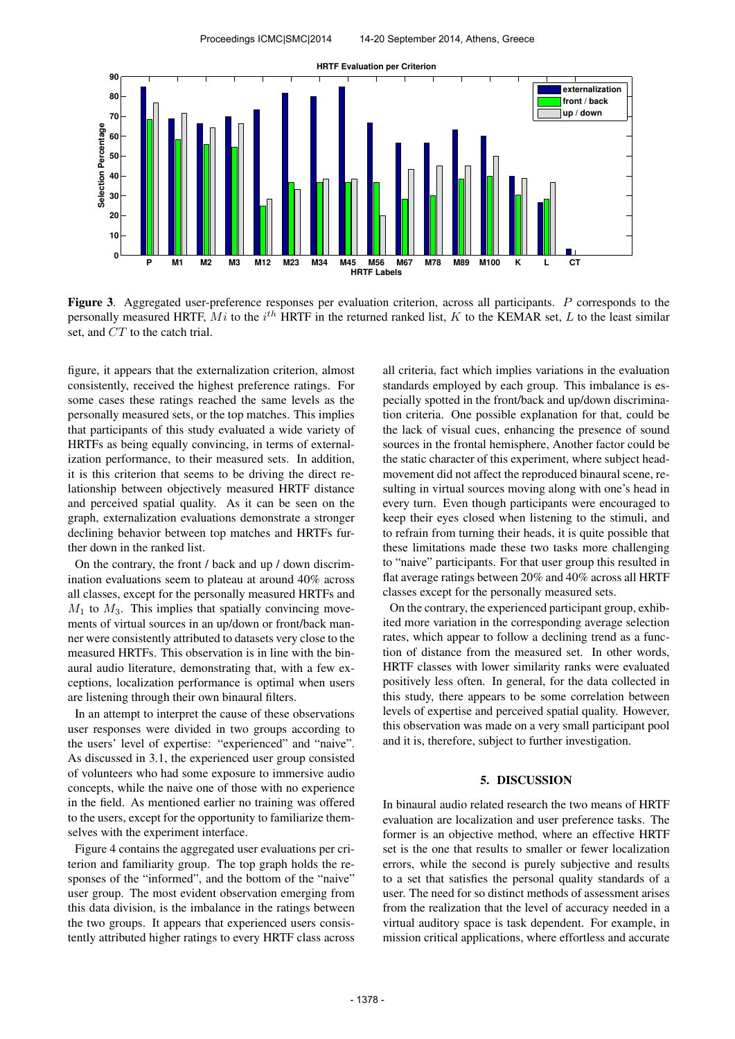

Figure 3. Aggregated user-preference responses per evaluation criterion, across all participants. P corresponds to the personally measured HRTF,  $Mi$  to the  $i^{th}$  HRTF in the returned ranked list, K to the KEMAR set, L to the least similar set, and CT to the catch trial.

figure, it appears that the externalization criterion, almost consistently, received the highest preference ratings. For some cases these ratings reached the same levels as the personally measured sets, or the top matches. This implies that participants of this study evaluated a wide variety of HRTFs as being equally convincing, in terms of externalization performance, to their measured sets. In addition, it is this criterion that seems to be driving the direct relationship between objectively measured HRTF distance and perceived spatial quality. As it can be seen on the graph, externalization evaluations demonstrate a stronger declining behavior between top matches and HRTFs further down in the ranked list.

On the contrary, the front / back and up / down discrimination evaluations seem to plateau at around 40% across all classes, except for the personally measured HRTFs and  $M_1$  to  $M_3$ . This implies that spatially convincing movements of virtual sources in an up/down or front/back manner were consistently attributed to datasets very close to the measured HRTFs. This observation is in line with the binaural audio literature, demonstrating that, with a few exceptions, localization performance is optimal when users are listening through their own binaural filters.

In an attempt to interpret the cause of these observations user responses were divided in two groups according to the users' level of expertise: "experienced" and "naive". As discussed in 3.1, the experienced user group consisted of volunteers who had some exposure to immersive audio concepts, while the naive one of those with no experience in the field. As mentioned earlier no training was offered to the users, except for the opportunity to familiarize themselves with the experiment interface.

Figure 4 contains the aggregated user evaluations per criterion and familiarity group. The top graph holds the responses of the "informed", and the bottom of the "naive" user group. The most evident observation emerging from this data division, is the imbalance in the ratings between the two groups. It appears that experienced users consistently attributed higher ratings to every HRTF class across all criteria, fact which implies variations in the evaluation standards employed by each group. This imbalance is especially spotted in the front/back and up/down discrimination criteria. One possible explanation for that, could be the lack of visual cues, enhancing the presence of sound sources in the frontal hemisphere, Another factor could be the static character of this experiment, where subject headmovement did not affect the reproduced binaural scene, resulting in virtual sources moving along with one's head in every turn. Even though participants were encouraged to keep their eyes closed when listening to the stimuli, and to refrain from turning their heads, it is quite possible that these limitations made these two tasks more challenging to "naive" participants. For that user group this resulted in flat average ratings between 20% and 40% across all HRTF classes except for the personally measured sets.

On the contrary, the experienced participant group, exhibited more variation in the corresponding average selection rates, which appear to follow a declining trend as a function of distance from the measured set. In other words, HRTF classes with lower similarity ranks were evaluated positively less often. In general, for the data collected in this study, there appears to be some correlation between levels of expertise and perceived spatial quality. However, this observation was made on a very small participant pool and it is, therefore, subject to further investigation.

# 5. DISCUSSION

In binaural audio related research the two means of HRTF evaluation are localization and user preference tasks. The former is an objective method, where an effective HRTF set is the one that results to smaller or fewer localization errors, while the second is purely subjective and results to a set that satisfies the personal quality standards of a user. The need for so distinct methods of assessment arises from the realization that the level of accuracy needed in a virtual auditory space is task dependent. For example, in mission critical applications, where effortless and accurate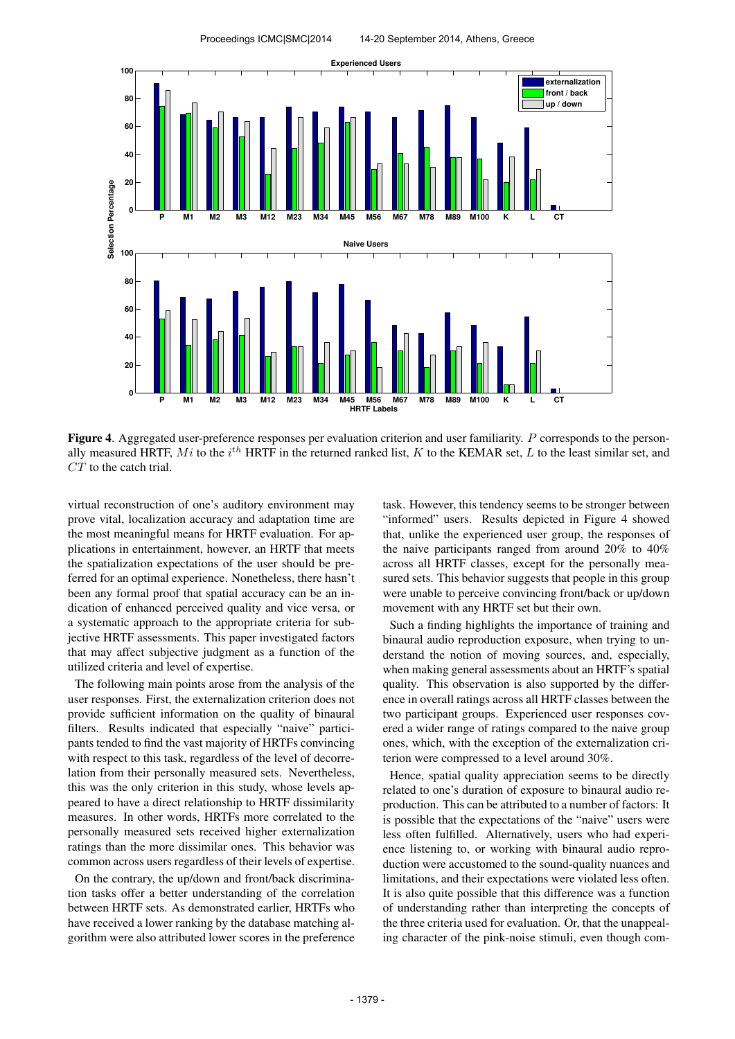

Figure 4. Aggregated user-preference responses per evaluation criterion and user familiarity. P corresponds to the personally measured HRTF, Mi to the  $i^{th}$  HRTF in the returned ranked list, K to the KEMAR set, L to the least similar set, and  $CT$  to the catch trial.

virtual reconstruction of one's auditory environment may prove vital, localization accuracy and adaptation time are the most meaningful means for HRTF evaluation. For applications in entertainment, however, an HRTF that meets the spatialization expectations of the user should be preferred for an optimal experience. Nonetheless, there hasn't been any formal proof that spatial accuracy can be an indication of enhanced perceived quality and vice versa, or a systematic approach to the appropriate criteria for subjective HRTF assessments. This paper investigated factors that may affect subjective judgment as a function of the utilized criteria and level of expertise.

The following main points arose from the analysis of the user responses. First, the externalization criterion does not provide sufficient information on the quality of binaural filters. Results indicated that especially "naive" participants tended to find the vast majority of HRTFs convincing with respect to this task, regardless of the level of decorrelation from their personally measured sets. Nevertheless, this was the only criterion in this study, whose levels appeared to have a direct relationship to HRTF dissimilarity measures. In other words, HRTFs more correlated to the personally measured sets received higher externalization ratings than the more dissimilar ones. This behavior was common across users regardless of their levels of expertise.

On the contrary, the up/down and front/back discrimination tasks offer a better understanding of the correlation between HRTF sets. As demonstrated earlier, HRTFs who have received a lower ranking by the database matching algorithm were also attributed lower scores in the preference task. However, this tendency seems to be stronger between "informed" users. Results depicted in Figure 4 showed that, unlike the experienced user group, the responses of the naive participants ranged from around 20% to 40% across all HRTF classes, except for the personally measured sets. This behavior suggests that people in this group were unable to perceive convincing front/back or up/down movement with any HRTF set but their own.

Such a finding highlights the importance of training and binaural audio reproduction exposure, when trying to understand the notion of moving sources, and, especially, when making general assessments about an HRTF's spatial quality. This observation is also supported by the difference in overall ratings across all HRTF classes between the two participant groups. Experienced user responses covered a wider range of ratings compared to the naive group ones, which, with the exception of the externalization criterion were compressed to a level around 30%.

Hence, spatial quality appreciation seems to be directly related to one's duration of exposure to binaural audio reproduction. This can be attributed to a number of factors: It is possible that the expectations of the "naive" users were less often fulfilled. Alternatively, users who had experience listening to, or working with binaural audio reproduction were accustomed to the sound-quality nuances and limitations, and their expectations were violated less often. It is also quite possible that this difference was a function of understanding rather than interpreting the concepts of the three criteria used for evaluation. Or, that the unappealing character of the pink-noise stimuli, even though com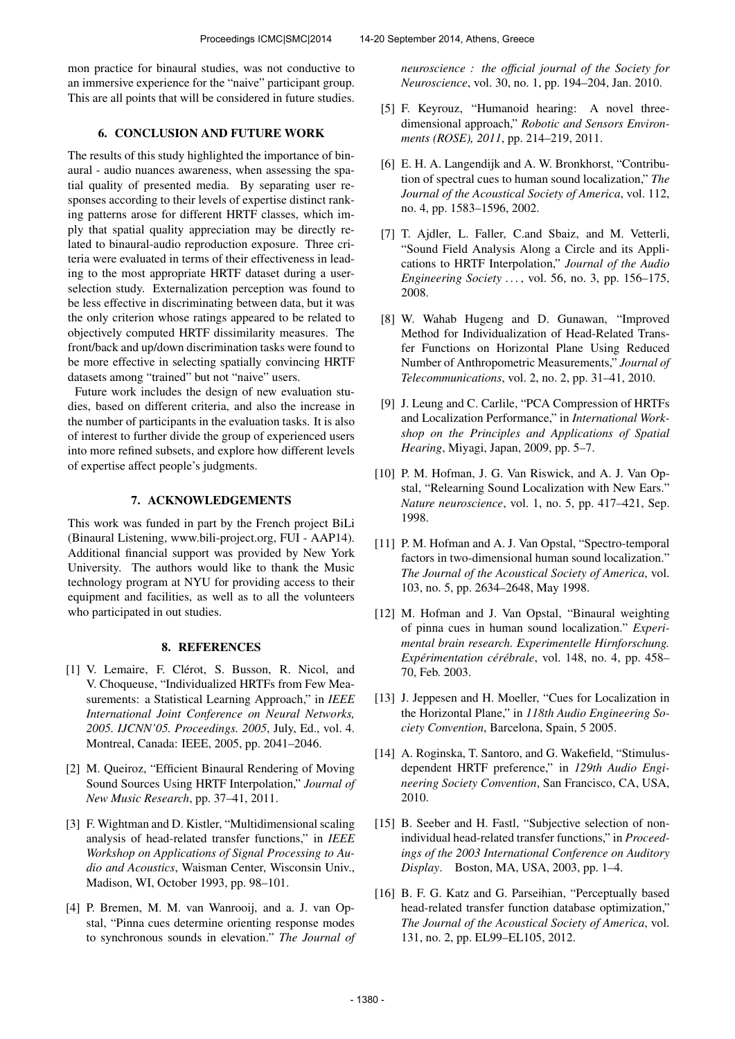mon practice for binaural studies, was not conductive to an immersive experience for the "naive" participant group. This are all points that will be considered in future studies.

# 6. CONCLUSION AND FUTURE WORK

The results of this study highlighted the importance of binaural - audio nuances awareness, when assessing the spatial quality of presented media. By separating user responses according to their levels of expertise distinct ranking patterns arose for different HRTF classes, which imply that spatial quality appreciation may be directly related to binaural-audio reproduction exposure. Three criteria were evaluated in terms of their effectiveness in leading to the most appropriate HRTF dataset during a userselection study. Externalization perception was found to be less effective in discriminating between data, but it was the only criterion whose ratings appeared to be related to objectively computed HRTF dissimilarity measures. The front/back and up/down discrimination tasks were found to be more effective in selecting spatially convincing HRTF datasets among "trained" but not "naive" users.

Future work includes the design of new evaluation studies, based on different criteria, and also the increase in the number of participants in the evaluation tasks. It is also of interest to further divide the group of experienced users into more refined subsets, and explore how different levels of expertise affect people's judgments.

### 7. ACKNOWLEDGEMENTS

This work was funded in part by the French project BiLi (Binaural Listening, www.bili-project.org, FUI - AAP14). Additional financial support was provided by New York University. The authors would like to thank the Music technology program at NYU for providing access to their equipment and facilities, as well as to all the volunteers who participated in out studies.

### 8. REFERENCES

- [1] V. Lemaire, F. Clérot, S. Busson, R. Nicol, and V. Choqueuse, "Individualized HRTFs from Few Measurements: a Statistical Learning Approach," in *IEEE International Joint Conference on Neural Networks, 2005. IJCNN'05. Proceedings. 2005*, July, Ed., vol. 4. Montreal, Canada: IEEE, 2005, pp. 2041–2046.
- [2] M. Queiroz, "Efficient Binaural Rendering of Moving Sound Sources Using HRTF Interpolation," *Journal of New Music Research*, pp. 37–41, 2011.
- [3] F. Wightman and D. Kistler, "Multidimensional scaling analysis of head-related transfer functions," in *IEEE Workshop on Applications of Signal Processing to Audio and Acoustics*, Waisman Center, Wisconsin Univ., Madison, WI, October 1993, pp. 98–101.
- [4] P. Bremen, M. M. van Wanrooij, and a. J. van Opstal, "Pinna cues determine orienting response modes to synchronous sounds in elevation." *The Journal of*

*neuroscience : the official journal of the Society for Neuroscience*, vol. 30, no. 1, pp. 194–204, Jan. 2010.

- [5] F. Keyrouz, "Humanoid hearing: A novel threedimensional approach," *Robotic and Sensors Environments (ROSE), 2011*, pp. 214–219, 2011.
- [6] E. H. A. Langendijk and A. W. Bronkhorst, "Contribution of spectral cues to human sound localization," *The Journal of the Acoustical Society of America*, vol. 112, no. 4, pp. 1583–1596, 2002.
- [7] T. Ajdler, L. Faller, C.and Sbaiz, and M. Vetterli, "Sound Field Analysis Along a Circle and its Applications to HRTF Interpolation," *Journal of the Audio Engineering Society . . .* , vol. 56, no. 3, pp. 156–175, 2008.
- [8] W. Wahab Hugeng and D. Gunawan, "Improved Method for Individualization of Head-Related Transfer Functions on Horizontal Plane Using Reduced Number of Anthropometric Measurements," *Journal of Telecommunications*, vol. 2, no. 2, pp. 31–41, 2010.
- [9] J. Leung and C. Carlile, "PCA Compression of HRTFs and Localization Performance," in *International Workshop on the Principles and Applications of Spatial Hearing*, Miyagi, Japan, 2009, pp. 5–7.
- [10] P. M. Hofman, J. G. Van Riswick, and A. J. Van Opstal, "Relearning Sound Localization with New Ears." *Nature neuroscience*, vol. 1, no. 5, pp. 417–421, Sep. 1998.
- [11] P. M. Hofman and A. J. Van Opstal, "Spectro-temporal factors in two-dimensional human sound localization." *The Journal of the Acoustical Society of America*, vol. 103, no. 5, pp. 2634–2648, May 1998.
- [12] M. Hofman and J. Van Opstal, "Binaural weighting of pinna cues in human sound localization." *Experimental brain research. Experimentelle Hirnforschung. Expérimentation cérébrale, vol. 148, no. 4, pp. 458–* 70, Feb. 2003.
- [13] J. Jeppesen and H. Moeller, "Cues for Localization in the Horizontal Plane," in *118th Audio Engineering Society Convention*, Barcelona, Spain, 5 2005.
- [14] A. Roginska, T. Santoro, and G. Wakefield, "Stimulusdependent HRTF preference," in *129th Audio Engineering Society Convention*, San Francisco, CA, USA, 2010.
- [15] B. Seeber and H. Fastl, "Subjective selection of nonindividual head-related transfer functions," in *Proceedings of the 2003 International Conference on Auditory Display*. Boston, MA, USA, 2003, pp. 1–4.
- [16] B. F. G. Katz and G. Parseihian, "Perceptually based head-related transfer function database optimization," *The Journal of the Acoustical Society of America*, vol. 131, no. 2, pp. EL99–EL105, 2012.